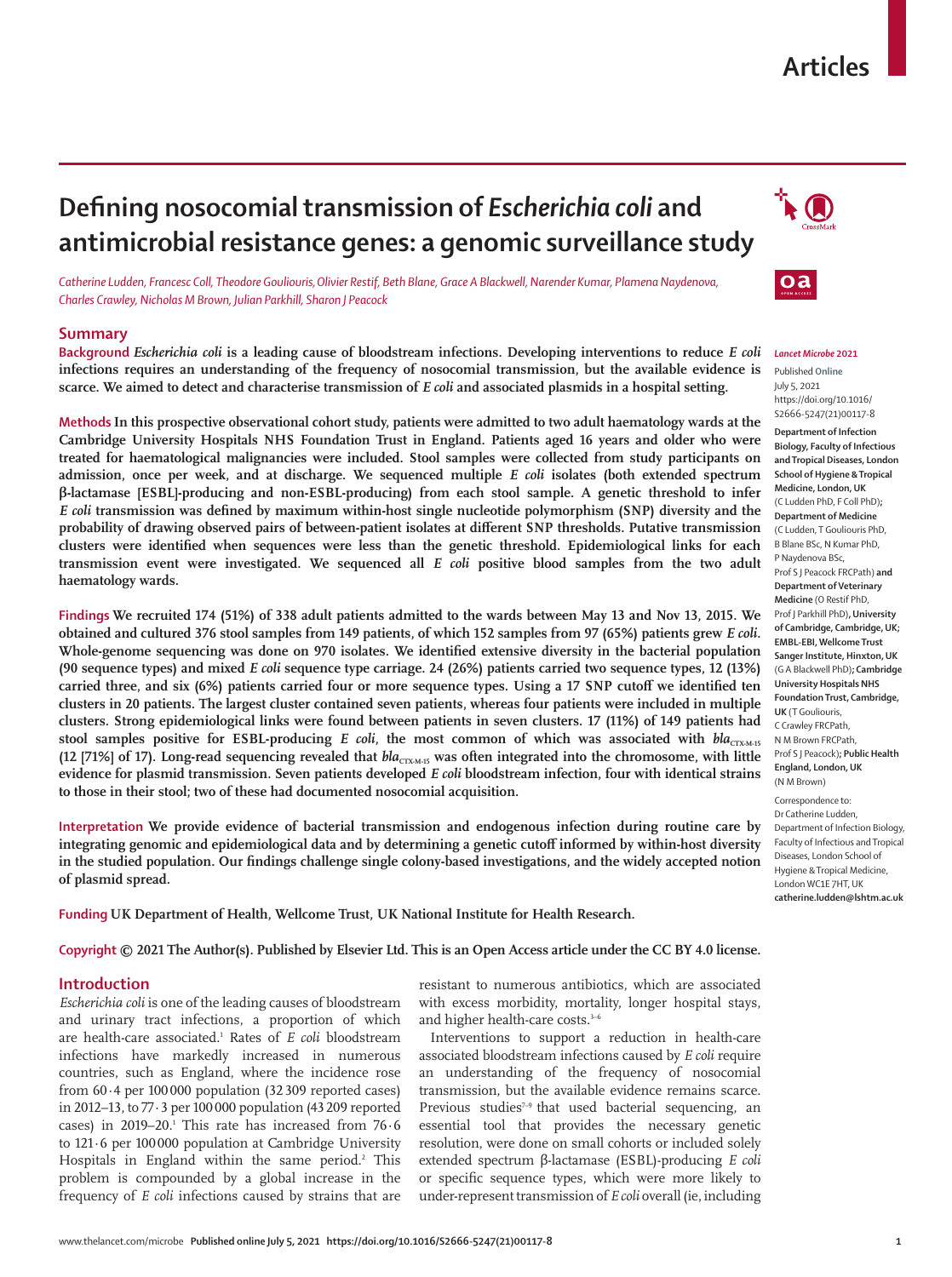# **Articles**

# **Defining nosocomial transmission of** *Escherichia coli* **and antimicrobial resistance genes: a genomic surveillance study**

*Catherine Ludden, Francesc Coll, Theodore Gouliouris,Olivier Restif, Beth Blane, Grace A Blackwell, Narender Kumar, Plamena Naydenova, Charles Crawley, Nicholas M Brown, Julian Parkhill, Sharon J Peacock*

# **Summary**

**Background** *Escherichia coli* **is a leading cause of bloodstream infections. Developing interventions to reduce** *E coli* **infections requires an understanding of the frequency of nosocomial transmission, but the available evidence is scarce. We aimed to detect and characterise transmission of** *E coli* **and associated plasmids in a hospital setting.**

**MethodsIn this prospective observational cohort study, patients were admitted to two adult haematology wards at the Cambridge University Hospitals NHS Foundation Trust in England. Patients aged 16 years and older who were treated for haematological malignancies were included. Stool samples were collected from study participants on admission, once per week, and at discharge. We sequenced multiple** *E coli* **isolates (both extended spectrum β-lactamase [ESBL]-producing and non-ESBL-producing) from each stool sample. A genetic threshold to infer**  *E coli* **transmission was defined by maximum within-host single nucleotide polymorphism (SNP) diversity and the probability of drawing observed pairs of between-patient isolates at different SNP thresholds. Putative transmission clusters were identified when sequences were less than the genetic threshold. Epidemiological links for each transmission event were investigated. We sequenced all** *E coli* **positive blood samples from the two adult haematology wards.**

**Findings We recruited 174 (51%) of 338 adult patients admitted to the wards between May 13 and Nov 13, 2015. We obtained and cultured 376 stool samples from 149 patients, of which 152 samples from 97 (65%) patients grew** *E coli***. Whole-genome sequencing was done on 970 isolates. We identified extensive diversity in the bacterial population (90 sequence types) and mixed** *E coli* **sequence type carriage. 24 (26%) patients carried two sequence types, 12 (13%) carried three, and six (6%) patients carried four or more sequence types. Using a 17 SNP cutoff we identified ten clusters in 20 patients. The largest cluster contained seven patients, whereas four patients were included in multiple clusters. Strong epidemiological links were found between patients in seven clusters. 17 (11%) of 149 patients had**  stool samples positive for ESBL-producing *E coli*, the most common of which was associated with *bla*<sub>CTX-M-15</sub> (12 [71%] of 17). Long-read sequencing revealed that  $bla_{CTXMM5}$  was often integrated into the chromosome, with little **evidence for plasmid transmission. Seven patients developed** *E coli* **bloodstream infection, four with identical strains to those in their stool; two of these had documented nosocomial acquisition.**

**Interpretation We provide evidence of bacterial transmission and endogenous infection during routine care by integrating genomic and epidemiological data and by determining a genetic cutoff informed by within-host diversity in the studied population. Our findings challenge single colony-based investigations, and the widely accepted notion of plasmid spread.**

**Funding UK Department of Health, Wellcome Trust, UK National Institute for Health Research.**

**Copyright © 2021 The Author(s). Published by Elsevier Ltd. This is an Open Access article under the CC BY 4.0 license.**

## **Introduction**

*Escherichia coli* is one of the leading causes of bloodstream and urinary tract infections, a proportion of which are health-care associated.1 Rates of *E coli* bloodstream infections have markedly increased in numerous countries, such as England, where the incidence rose from  $60.4$  per  $100000$  population  $(32309$  reported cases) in 2012–13, to 77·3 per 100000 population (43209 reported cases) in 2019–20.<sup>1</sup> This rate has increased from  $76.6$ to 121·6 per 100000 population at Cambridge University Hospitals in England within the same period.<sup>2</sup> This problem is compounded by a global increase in the frequency of *E coli* infections caused by strains that are

resistant to numerous antibiotics, which are associated with excess morbidity, mortality, longer hospital stays, and higher health-care costs.<sup>3-6</sup>

Interventions to support a reduction in health-care associated bloodstream infections caused by *E coli* require an understanding of the frequency of nosocomial transmission, but the available evidence remains scarce. Previous studies<sup>7-9</sup> that used bacterial sequencing, an essential tool that provides the necessary genetic resolution, were done on small cohorts or included solely extended spectrum β-lactamase (ESBL)-producing *E coli* or specific sequence types, which were more likely to under-represent transmission of *E coli* overall (ie, including



#### *Lancet Microbe* **2021**

Published **Online** July 5, 2021 https://doi.org/10.1016/ S2666-5247(21)00117-8 **Department of Infection Biology, Faculty of Infectious and Tropical Diseases, London School of Hygiene & Tropical Medicine, London, UK** (C Ludden PhD, F Coll PhD)**; Department of Medicine**  (C Ludden, T Gouliouris PhD, B Blane BSc, N Kumar PhD, P Naydenova BSc, Prof S J Peacock FRCPath) **and Department of Veterinary Medicine** (O Restif PhD, Prof J Parkhill PhD)**, University of Cambridge, Cambridge, UK; EMBL-EBI, Wellcome Trust Sanger Institute, Hinxton, UK**  (G A Blackwell PhD)**; Cambridge University Hospitals NHS Foundation Trust, Cambridge, UK** (T Gouliouris, C Crawley FRCPath, N M Brown FRCPath, Prof S J Peacock)**; Public Health England, London, UK**  (N M Brown) Correspondence to:

Dr Catherine Ludden, Department of Infection Biology, Faculty of Infectious and Tropical Diseases, London School of Hygiene & Tropical Medicine, London WC1E 7HT, UK **catherine.ludden@lshtm.ac.uk**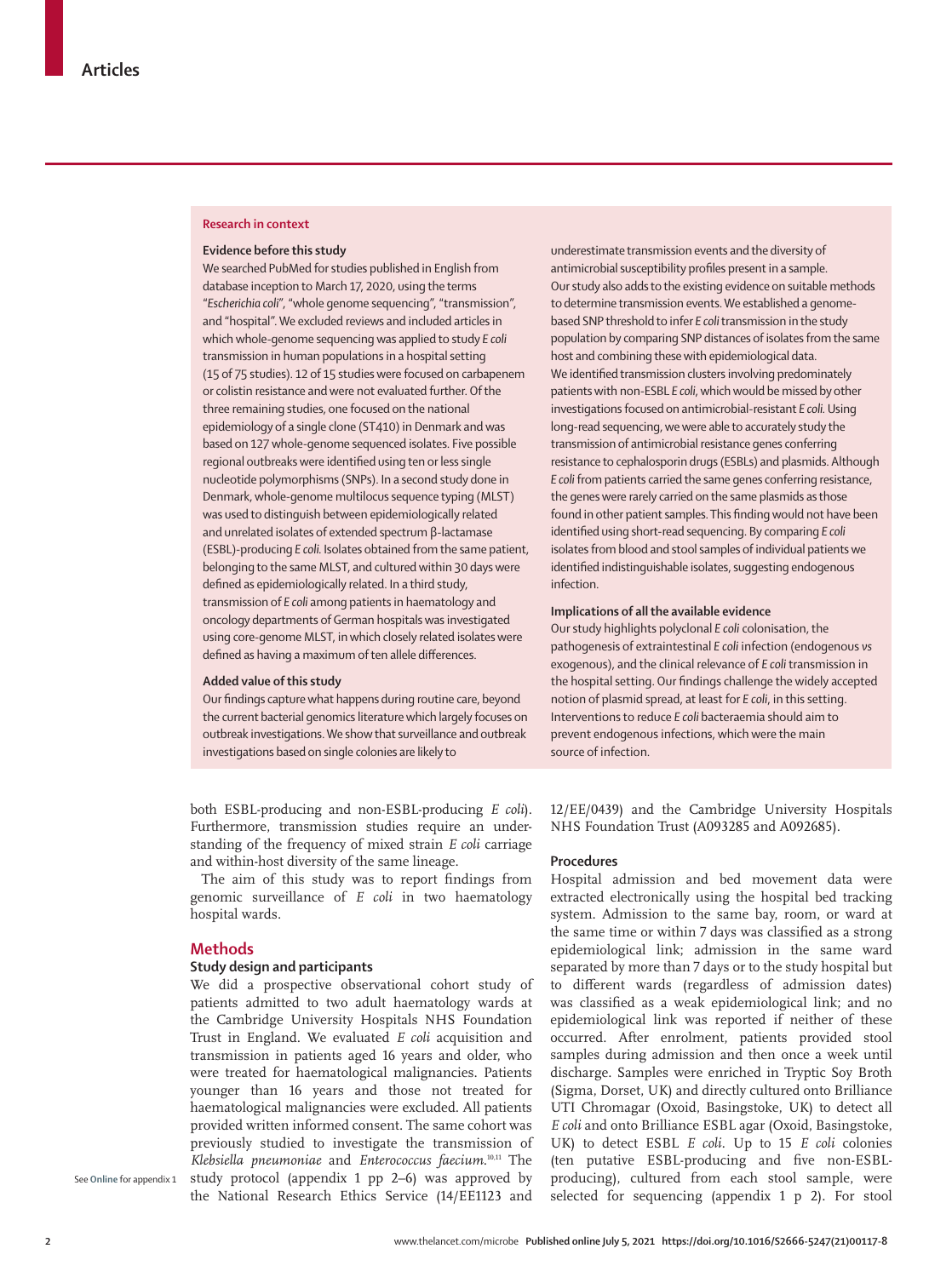### **Research in context**

### **Evidence before this study**

We searched PubMed for studies published in English from database inception to March 17, 2020, using the terms "*Escherichia coli*", "whole genome sequencing", "transmission", and "hospital". We excluded reviews and included articles in which whole-genome sequencing was applied to study *E coli* transmission in human populations in a hospital setting (15 of 75 studies). 12 of 15 studies were focused on carbapenem or colistin resistance and were not evaluated further. Of the three remaining studies, one focused on the national epidemiology of a single clone (ST410) in Denmark and was based on 127 whole-genome sequenced isolates. Five possible regional outbreaks were identified using ten or less single nucleotide polymorphisms (SNPs). In a second study done in Denmark, whole-genome multilocus sequence typing (MLST) was used to distinguish between epidemiologically related and unrelated isolates of extended spectrum β-lactamase (ESBL)-producing *E coli.* Isolates obtained from the same patient, belonging to the same MLST, and cultured within 30 days were defined as epidemiologically related. In a third study, transmission of *E coli* among patients in haematology and oncology departments of German hospitals was investigated using core-genome MLST, in which closely related isolates were defined as having a maximum of ten allele differences.

## **Added value of this study**

Our findings capture what happens during routine care, beyond the current bacterial genomics literature which largely focuses on outbreak investigations. We show that surveillance and outbreak investigations based on single colonies are likely to

both ESBL-producing and non-ESBL-producing *E coli*). Furthermore, transmission studies require an understanding of the frequency of mixed strain *E coli* carriage and within-host diversity of the same lineage.

The aim of this study was to report findings from genomic surveillance of *E coli* in two haematology hospital wards.

# **Methods**

# **Study design and participants**

We did a prospective observational cohort study of patients admitted to two adult haematology wards at the Cambridge University Hospitals NHS Foundation Trust in England. We evaluated *E coli* acquisition and transmission in patients aged 16 years and older, who were treated for haematological malignancies. Patients younger than 16 years and those not treated for haematological malignancies were excluded. All patients provided written informed consent. The same cohort was previously studied to investigate the transmission of *Klebsiella pneumoniae* and *Enterococcus faecium*. 10,11 The study protocol (appendix 1 pp 2–6) was approved by the National Research Ethics Service (14/EE1123 and

See **Online** for appendix 1

underestimate transmission events and the diversity of antimicrobial susceptibility profiles present in a sample. Our study also adds to the existing evidence on suitable methods to determine transmission events. We established a genomebased SNP threshold to infer *E coli* transmission in the study population by comparing SNP distances of isolates from the same host and combining these with epidemiological data. We identified transmission clusters involving predominately patients with non-ESBL *E coli*, which would be missed by other investigations focused on antimicrobial-resistant *E coli.* Using long-read sequencing, we were able to accurately study the transmission of antimicrobial resistance genes conferring resistance to cephalosporin drugs (ESBLs) and plasmids. Although *E coli* from patients carried the same genes conferring resistance, the genes were rarely carried on the same plasmids as those found in other patient samples. This finding would not have been identified using short-read sequencing. By comparing *E coli*  isolates from blood and stool samples of individual patients we identified indistinguishable isolates, suggesting endogenous infection.

## **Implications of all the available evidence**

Our study highlights polyclonal *E coli* colonisation, the pathogenesis of extraintestinal *E coli* infection (endogenous *vs*  exogenous), and the clinical relevance of *E coli* transmission in the hospital setting. Our findings challenge the widely accepted notion of plasmid spread, at least for *E coli*, in this setting. Interventions to reduce *E coli* bacteraemia should aim to prevent endogenous infections, which were the main source of infection.

12/EE/0439) and the Cambridge University Hospitals NHS Foundation Trust (A093285 and A092685).

# **Procedures**

Hospital admission and bed movement data were extracted electronically using the hospital bed tracking system. Admission to the same bay, room, or ward at the same time or within 7 days was classified as a strong epidemiological link; admission in the same ward separated by more than 7 days or to the study hospital but to different wards (regardless of admission dates) was classified as a weak epidemiological link; and no epidemiological link was reported if neither of these occurred. After enrolment, patients provided stool samples during admission and then once a week until discharge. Samples were enriched in Tryptic Soy Broth (Sigma, Dorset, UK) and directly cultured onto Brilliance UTI Chromagar (Oxoid, Basingstoke, UK) to detect all *E coli* and onto Brilliance ESBL agar (Oxoid, Basingstoke, UK) to detect ESBL *E coli.* Up to 15 *E coli* colonies (ten putative ESBL-producing and five non-ESBLproducing), cultured from each stool sample, were selected for sequencing (appendix 1 p 2). For stool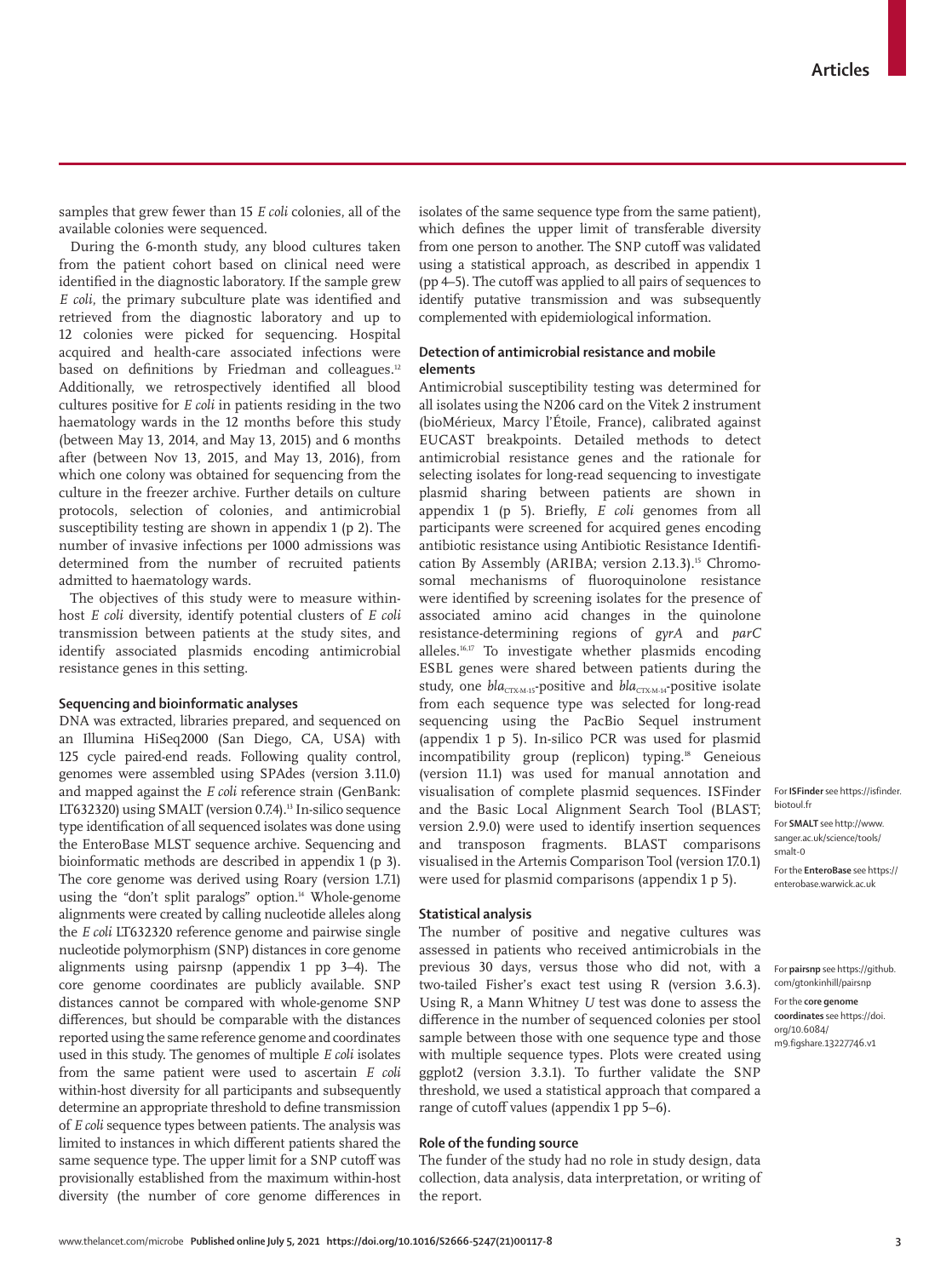samples that grew fewer than 15 *E coli* colonies, all of the available colonies were sequenced.

During the 6-month study, any blood cultures taken from the patient cohort based on clinical need were identified in the diagnostic laboratory. If the sample grew *E coli*, the primary subculture plate was identified and retrieved from the diagnostic laboratory and up to 12 colonies were picked for sequencing. Hospital acquired and health-care associated infections were based on definitions by Friedman and colleagues.<sup>12</sup> Additionally, we retrospectively identified all blood cultures positive for *E coli* in patients residing in the two haematology wards in the 12 months before this study (between May 13, 2014, and May 13, 2015) and 6 months after (between Nov 13, 2015, and May 13, 2016), from which one colony was obtained for sequencing from the culture in the freezer archive. Further details on culture protocols, selection of colonies, and antimicrobial susceptibility testing are shown in appendix 1 (p 2). The number of invasive infections per 1000 admissions was determined from the number of recruited patients admitted to haematology wards.

The objectives of this study were to measure withinhost *E coli* diversity, identify potential clusters of *E coli*  transmission between patients at the study sites, and identify associated plasmids encoding antimicrobial resistance genes in this setting.

# **Sequencing and bioinformatic analyses**

DNA was extracted, libraries prepared, and sequenced on an Illumina HiSeq2000 (San Diego, CA, USA) with 125 cycle paired-end reads. Following quality control, genomes were assembled using SPAdes (version 3.11.0) and mapped against the *E coli* reference strain (GenBank: LT632320) using [SMALT](http://www.sanger.ac.uk/science/tools/smalt-0) (version 0.7.4).<sup>13</sup> In-silico sequence type identification of all sequenced isolates was done using the [EnteroBase](https://enterobase.warwick.ac.uk) MLST sequence archive. Sequencing and bioinformatic methods are described in appendix 1 (p 3). The core genome was derived using Roary (version 1.7.1) using the "don't split paralogs" option.<sup>14</sup> Whole-genome alignments were created by calling nucleotide alleles along the *E coli* LT632320 reference genome and pairwise single nucleotide polymorphism (SNP) distances in core genome alignments using [pairsnp](https://github.com/gtonkinhill/pairsnp) (appendix 1 pp 3–4). The [core genome coordinates](https://doi.org/10.6084/m9.figshare.13227746.v1) are publicly available. SNP distances cannot be compared with whole-genome SNP differences, but should be comparable with the distances reported using the same reference genome and coordinates used in this study. The genomes of multiple *E coli* isolates from the same patient were used to ascertain *E coli* within-host diversity for all participants and subsequently determine an appropriate threshold to define transmission of *E coli* sequence types between patients. The analysis was limited to instances in which different patients shared the same sequence type. The upper limit for a SNP cutoff was provisionally established from the maximum within-host diversity (the number of core genome differences in isolates of the same sequence type from the same patient), which defines the upper limit of transferable diversity from one person to another. The SNP cutoff was validated using a statistical approach, as described in appendix 1 (pp 4–5). The cutoff was applied to all pairs of sequences to identify putative transmission and was subsequently complemented with epidemiological information.

# **Detection of antimicrobial resistance and mobile elements**

Antimicrobial susceptibility testing was determined for all isolates using the N206 card on the Vitek 2 instrument (bioMérieux, Marcy l'Étoile, France), calibrated against EUCAST breakpoints. Detailed methods to detect antimicrobial resistance genes and the rationale for selecting isolates for long-read sequencing to investigate plasmid sharing between patients are shown in appendix 1 (p 5). Briefly, *E coli* genomes from all participants were screened for acquired genes encoding antibiotic resistance using Antibiotic Resistance Identification By Assembly (ARIBA; version 2.13.3).<sup>15</sup> Chromosomal mechanisms of fluoroquinolone resistance were identified by screening isolates for the presence of associated amino acid changes in the quinolone resistance-determining regions of *gyrA* and *parC* alleles.16,17 To investigate whether plasmids encoding ESBL genes were shared between patients during the study, one *bla<sub>CTX-M-15</sub>*-positive and *bla<sub>CTX-M-14</sub>*-positive isolate from each sequence type was selected for long-read sequencing using the PacBio Sequel instrument (appendix 1 p 5). In-silico PCR was used for plasmid incompatibility group (replicon) typing.<sup>18</sup> Geneious (version 11.1) was used for manual annotation and visualisation of complete plasmid sequences. [ISFinder](https://isfinder.biotoul.fr) and the Basic Local Alignment Search Tool (BLAST; version 2.9.0) were used to identify insertion sequences and transposon fragments. BLAST comparisons visualised in the Artemis Comparison Tool (version 17.0.1) were used for plasmid comparisons (appendix 1 p 5).

#### **Statistical analysis**

The number of positive and negative cultures was assessed in patients who received antimicrobials in the previous 30 days, versus those who did not, with a two-tailed Fisher's exact test using R (version 3.6.3). Using R, a Mann Whitney *U* test was done to assess the difference in the number of sequenced colonies per stool sample between those with one sequence type and those with multiple sequence types. Plots were created using ggplot2 (version 3.3.1). To further validate the SNP threshold, we used a statistical approach that compared a range of cutoff values (appendix 1 pp 5–6).

# **Role of the funding source**

The funder of the study had no role in study design, data collection, data analysis, data interpretation, or writing of the report.

[sanger.ac.uk/science/tools/](http://www.sanger.ac.uk/science/tools/smalt-0) [smalt-0](http://www.sanger.ac.uk/science/tools/smalt-0) For the **EnteroBase** see [https://](https://enterobase.warwick.ac.uk) [enterobase.warwick.ac.uk](https://enterobase.warwick.ac.uk)

For **ISFinder** see [https://isfinder.](https://isfinder.biotoul.fr)

For **SMALT** see [http://www.](http://www.sanger.ac.uk/science/tools/smalt-0)

[biotoul.fr](https://isfinder.biotoul.fr) 

For **pairsnp** see [https://github.](https://github.com/gtonkinhill/pairsnp/) [com/gtonkinhill/pairsnp](https://github.com/gtonkinhill/pairsnp/) For the **core genome coordinates** see [https://doi.](https://doi.org/10.6084/m9.figshare.13227746.v1) [org/10.6084/](https://doi.org/10.6084/m9.figshare.13227746.v1) [m9.figshare.13227746.v1](https://doi.org/10.6084/m9.figshare.13227746.v1)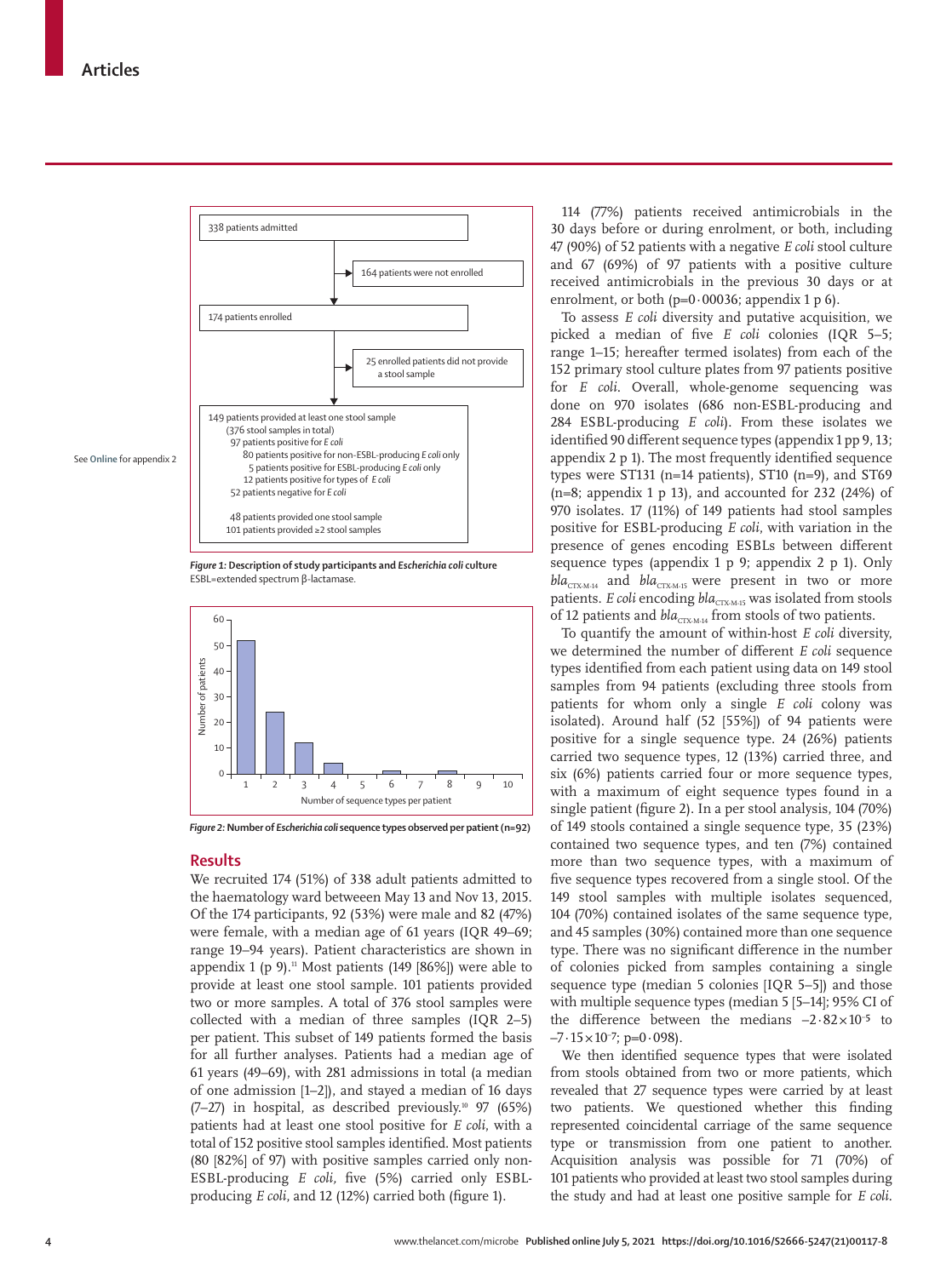

*Figure 1:* **Description of study participants and** *Escherichia coli* **culture** ESBL=extended spectrum β-lactamase.



*Figure 2:* **Number of** *Escherichia coli* **sequence types observed per patient (n=92)**

# **Results**

We recruited 174 (51%) of 338 adult patients admitted to the haematology ward betweeen May 13 and Nov 13, 2015. Of the 174 participants, 92 (53%) were male and 82 (47%) were female, with a median age of 61 years (IQR 49–69; range 19–94 years). Patient characteristics are shown in appendix 1 (p 9).<sup>11</sup> Most patients (149 [86%]) were able to provide at least one stool sample. 101 patients provided two or more samples. A total of 376 stool samples were collected with a median of three samples (IQR 2–5) per patient. This subset of 149 patients formed the basis for all further analyses. Patients had a median age of 61 years (49–69), with 281 admissions in total (a median of one admission [1–2]), and stayed a median of 16 days  $(7-27)$  in hospital, as described previously.<sup>10</sup> 97 (65%) patients had at least one stool positive for *E coli*, with a total of 152 positive stool samples identified. Most patients (80 [82%] of 97) with positive samples carried only non-ESBL-producing *E coli,* five (5%) carried only ESBLproducing *E coli*, and 12 (12%) carried both (figure 1).

114 (77%) patients received antimicrobials in the 30 days before or during enrolment, or both, including 47 (90%) of 52 patients with a negative *E coli* stool culture and 67 (69%) of 97 patients with a positive culture received antimicrobials in the previous 30 days or at enrolment, or both (p=0·00036; appendix 1 p 6).

To assess *E coli* diversity and putative acquisition, we picked a median of five *E coli* colonies (IQR 5–5; range 1–15; hereafter termed isolates) from each of the 152 primary stool culture plates from 97 patients positive for *E coli*. Overall, whole-genome sequencing was done on 970 isolates (686 non-ESBL-producing and 284 ESBL-producing *E coli*). From these isolates we identified 90 different sequence types (appendix 1 pp 9, 13; appendix 2 p 1). The most frequently identified sequence types were ST131 (n=14 patients), ST10 (n=9), and ST69 (n=8; appendix 1 p 13), and accounted for  $232$  (24%) of 970 isolates. 17 (11%) of 149 patients had stool samples positive for ESBL-producing *E coli*, with variation in the presence of genes encoding ESBLs between different sequence types (appendix 1 p 9; appendix 2 p 1). Only *bla*<sub>CTX-M-14</sub> and *bla*<sub>CTX-M-15</sub> were present in two or more patients. *E coli* encoding *bla<sub>CTX-M-15</sub>* was isolated from stools of 12 patients and *bla*<sub>CTX-M-14</sub> from stools of two patients.

To quantify the amount of within-host *E coli* diversity, we determined the number of different *E coli* sequence types identified from each patient using data on 149 stool samples from 94 patients (excluding three stools from patients for whom only a single *E coli* colony was isolated). Around half (52 [55%]) of 94 patients were positive for a single sequence type. 24 (26%) patients carried two sequence types, 12 (13%) carried three, and six (6%) patients carried four or more sequence types, with a maximum of eight sequence types found in a single patient (figure 2). In a per stool analysis, 104 (70%) of 149 stools contained a single sequence type, 35 (23%) contained two sequence types, and ten (7%) contained more than two sequence types, with a maximum of five sequence types recovered from a single stool. Of the 149 stool samples with multiple isolates sequenced, 104 (70%) contained isolates of the same sequence type, and 45 samples (30%) contained more than one sequence type. There was no significant difference in the number of colonies picked from samples containing a single sequence type (median 5 colonies [IQR 5–5]) and those with multiple sequence types (median 5 [5–14]; 95% CI of the difference between the medians  $-2.82 \times 10^{-5}$  to  $-7.15 \times 10^{-7}$ ; p=0.098).

We then identified sequence types that were isolated from stools obtained from two or more patients, which revealed that 27 sequence types were carried by at least two patients. We questioned whether this finding represented coincidental carriage of the same sequence type or transmission from one patient to another. Acquisition analysis was possible for 71 (70%) of 101 patients who provided at least two stool samples during the study and had at least one positive sample for *E coli.*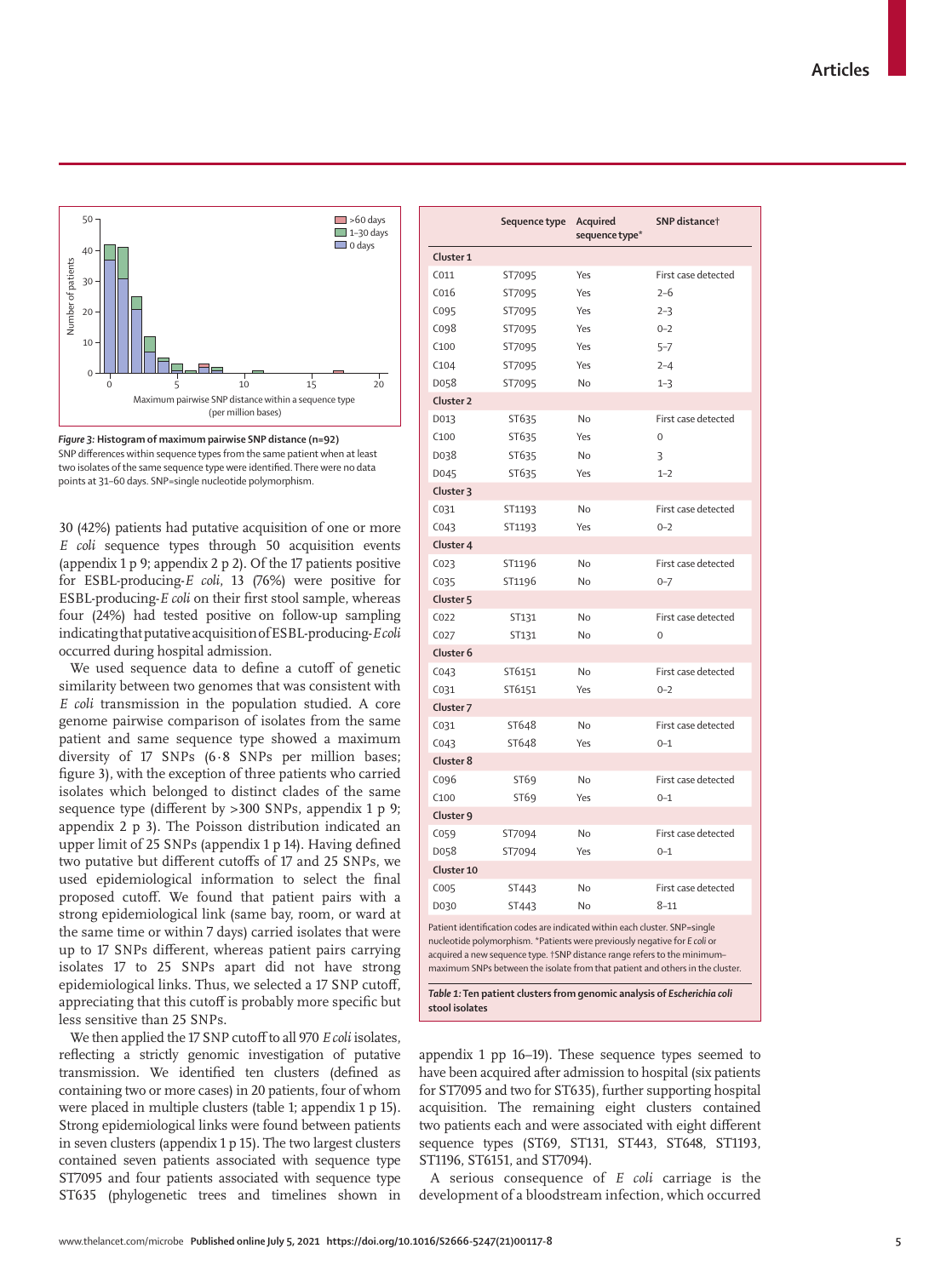



30 (42%) patients had putative acquisition of one or more *E coli* sequence types through 50 acquisition events (appendix 1 p 9; appendix 2 p 2). Of the 17 patients positive for ESBL-producing-*E coli*, 13 (76%) were positive for ESBL-producing-*E coli* on their first stool sample, whereas four (24%) had tested positive on follow-up sampling indicating that putative acquisition of ESBL-producing-*E coli*  occurred during hospital admission.

We used sequence data to define a cutoff of genetic similarity between two genomes that was consistent with *E coli* transmission in the population studied. A core genome pairwise comparison of isolates from the same patient and same sequence type showed a maximum diversity of 17 SNPs (6·8 SNPs per million bases; figure 3), with the exception of three patients who carried isolates which belonged to distinct clades of the same sequence type (different by >300 SNPs, appendix 1 p 9; appendix 2 p 3). The Poisson distribution indicated an upper limit of 25 SNPs (appendix 1 p 14). Having defined two putative but different cutoffs of 17 and 25 SNPs, we used epidemiological information to select the final proposed cutoff. We found that patient pairs with a strong epidemiological link (same bay, room, or ward at the same time or within 7 days) carried isolates that were up to 17 SNPs different, whereas patient pairs carrying isolates 17 to 25 SNPs apart did not have strong epidemiological links. Thus, we selected a 17 SNP cutoff, appreciating that this cutoff is probably more specific but less sensitive than 25 SNPs.

We then applied the 17 SNP cutoff to all 970 *E coli* isolates, reflecting a strictly genomic investigation of putative transmission. We identified ten clusters (defined as containing two or more cases) in 20 patients, four of whom were placed in multiple clusters (table 1; appendix 1 p 15). Strong epidemiological links were found between patients in seven clusters (appendix 1 p 15). The two largest clusters contained seven patients associated with sequence type ST7095 and four patients associated with sequence type ST635 (phylogenetic trees and timelines shown in

|                                                                                                                                                                                                                                                                                                                                                                                                 | Sequence type | Acquired<br>sequence type* | SNP distance <sup>+</sup> |  |  |  |  |  |
|-------------------------------------------------------------------------------------------------------------------------------------------------------------------------------------------------------------------------------------------------------------------------------------------------------------------------------------------------------------------------------------------------|---------------|----------------------------|---------------------------|--|--|--|--|--|
| Cluster 1                                                                                                                                                                                                                                                                                                                                                                                       |               |                            |                           |  |  |  |  |  |
| CO11                                                                                                                                                                                                                                                                                                                                                                                            | ST7095        | Yes                        | First case detected       |  |  |  |  |  |
| C <sub>016</sub>                                                                                                                                                                                                                                                                                                                                                                                | ST7095        | Yes                        | $2-6$                     |  |  |  |  |  |
| C095                                                                                                                                                                                                                                                                                                                                                                                            | ST7095        | Yes                        | $2 - 3$                   |  |  |  |  |  |
| C098                                                                                                                                                                                                                                                                                                                                                                                            | ST7095        | Yes                        | $0 - 2$                   |  |  |  |  |  |
| C100                                                                                                                                                                                                                                                                                                                                                                                            | ST7095        | Yes                        | $5 - 7$                   |  |  |  |  |  |
| C104                                                                                                                                                                                                                                                                                                                                                                                            | ST7095        | Yes                        | $2 - 4$                   |  |  |  |  |  |
| D058                                                                                                                                                                                                                                                                                                                                                                                            | ST7095        | <b>No</b>                  | $1 - 3$                   |  |  |  |  |  |
| Cluster <sub>2</sub>                                                                                                                                                                                                                                                                                                                                                                            |               |                            |                           |  |  |  |  |  |
| D013                                                                                                                                                                                                                                                                                                                                                                                            | ST635         | <b>No</b>                  | First case detected       |  |  |  |  |  |
| C100                                                                                                                                                                                                                                                                                                                                                                                            | ST635         | Yes                        | 0                         |  |  |  |  |  |
| D038                                                                                                                                                                                                                                                                                                                                                                                            | ST635         | No                         | 3                         |  |  |  |  |  |
| D045                                                                                                                                                                                                                                                                                                                                                                                            | ST635         | Yes                        | $1 - 2$                   |  |  |  |  |  |
| Cluster <sub>3</sub>                                                                                                                                                                                                                                                                                                                                                                            |               |                            |                           |  |  |  |  |  |
| C031                                                                                                                                                                                                                                                                                                                                                                                            | ST1193        | <b>No</b>                  | First case detected       |  |  |  |  |  |
| CO <sub>43</sub>                                                                                                                                                                                                                                                                                                                                                                                | ST1193        | Yes                        | $0 - 2$                   |  |  |  |  |  |
| Cluster 4                                                                                                                                                                                                                                                                                                                                                                                       |               |                            |                           |  |  |  |  |  |
| CO <sub>23</sub>                                                                                                                                                                                                                                                                                                                                                                                | ST1196        | No                         | First case detected       |  |  |  |  |  |
| C035                                                                                                                                                                                                                                                                                                                                                                                            | ST1196        | <b>No</b>                  | $0 - 7$                   |  |  |  |  |  |
| Cluster <sub>5</sub>                                                                                                                                                                                                                                                                                                                                                                            |               |                            |                           |  |  |  |  |  |
| CO <sub>22</sub>                                                                                                                                                                                                                                                                                                                                                                                | ST131         | No                         | First case detected       |  |  |  |  |  |
| C027                                                                                                                                                                                                                                                                                                                                                                                            | ST131         | No                         | $\Omega$                  |  |  |  |  |  |
| Cluster <sub>6</sub>                                                                                                                                                                                                                                                                                                                                                                            |               |                            |                           |  |  |  |  |  |
| CO <sub>43</sub>                                                                                                                                                                                                                                                                                                                                                                                | ST6151        | No                         | First case detected       |  |  |  |  |  |
| C031                                                                                                                                                                                                                                                                                                                                                                                            | ST6151        | Yes                        | $0 - 2$                   |  |  |  |  |  |
| Cluster <sub>7</sub>                                                                                                                                                                                                                                                                                                                                                                            |               |                            |                           |  |  |  |  |  |
| C031                                                                                                                                                                                                                                                                                                                                                                                            | ST648         | No                         | First case detected       |  |  |  |  |  |
| CO <sub>43</sub>                                                                                                                                                                                                                                                                                                                                                                                | ST648         | Yes                        | $0 - 1$                   |  |  |  |  |  |
| Cluster 8                                                                                                                                                                                                                                                                                                                                                                                       |               |                            |                           |  |  |  |  |  |
| C096                                                                                                                                                                                                                                                                                                                                                                                            | ST69          | No                         | First case detected       |  |  |  |  |  |
| C100                                                                                                                                                                                                                                                                                                                                                                                            | ST69          | Yes                        | $0 - 1$                   |  |  |  |  |  |
| Cluster 9                                                                                                                                                                                                                                                                                                                                                                                       |               |                            |                           |  |  |  |  |  |
| C059                                                                                                                                                                                                                                                                                                                                                                                            | ST7094        | No                         | First case detected       |  |  |  |  |  |
| D058                                                                                                                                                                                                                                                                                                                                                                                            | ST7094        | Yes                        | $0 - 1$                   |  |  |  |  |  |
| Cluster 10                                                                                                                                                                                                                                                                                                                                                                                      |               |                            |                           |  |  |  |  |  |
| C005                                                                                                                                                                                                                                                                                                                                                                                            | ST443         | <b>No</b>                  | First case detected       |  |  |  |  |  |
| D030                                                                                                                                                                                                                                                                                                                                                                                            | ST443         | No                         | $8 - 11$                  |  |  |  |  |  |
| Patient identification codes are indicated within each cluster. SNP=single<br>nucleotide polymorphism. *Patients were previously negative for E coli or<br>acquired a new sequence type. †SNP distance range refers to the minimum-<br>maximum SNPs between the isolate from that patient and others in the cluster.<br>Table 1: Ten patient clusters from genomic analysis of Escherichia coli |               |                            |                           |  |  |  |  |  |

**stool isolates**

appendix 1 pp 16–19). These sequence types seemed to have been acquired after admission to hospital (six patients for ST7095 and two for ST635), further supporting hospital acquisition. The remaining eight clusters contained two patients each and were associated with eight different sequence types (ST69, ST131, ST443, ST648, ST1193, ST1196, ST6151, and ST7094).

A serious consequence of *E coli* carriage is the development of a bloodstream infection, which occurred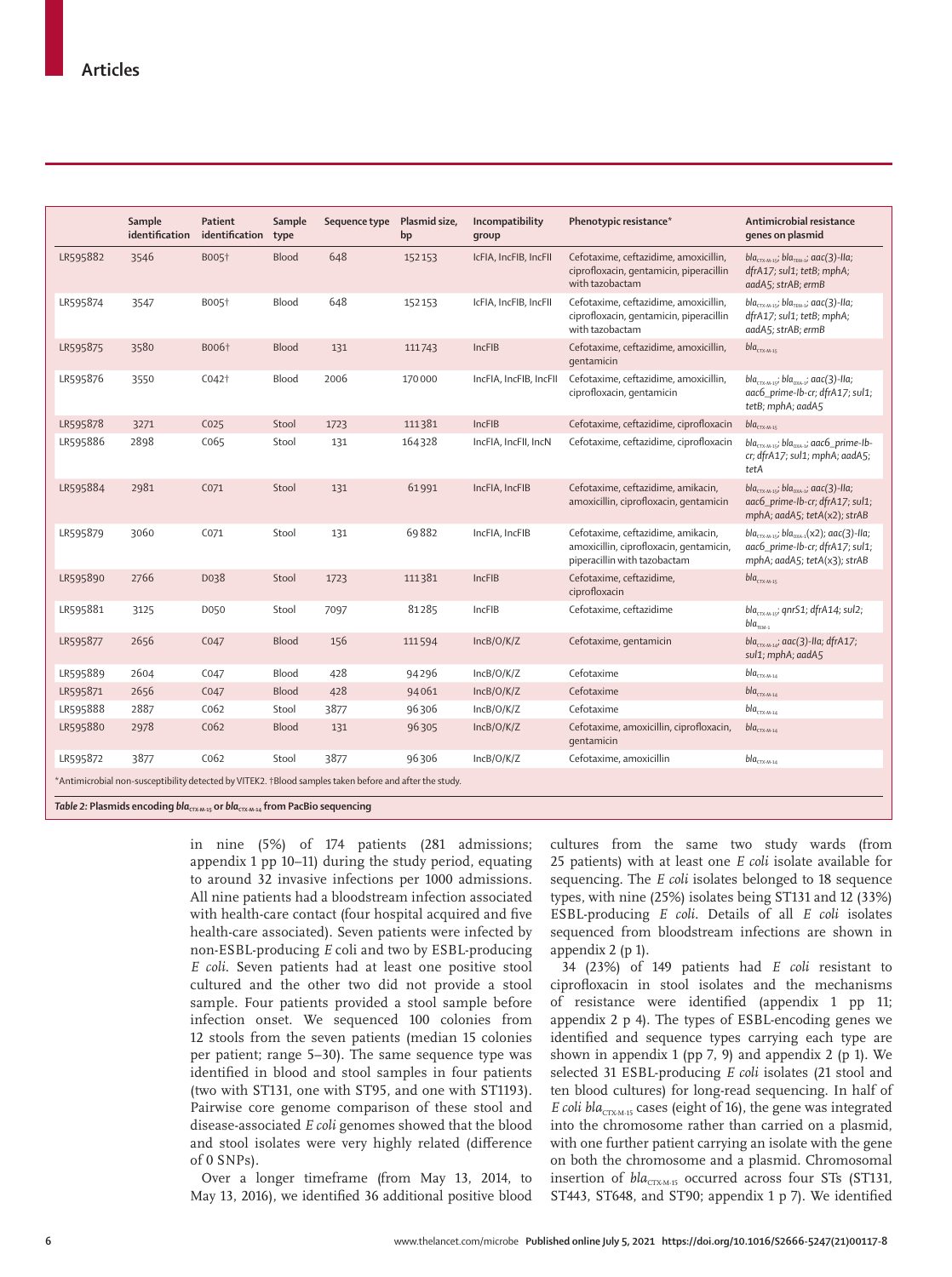|                                                                                                        | Sample<br>identification | Patient<br>identification | Sample<br>type | Sequence type | Plasmid size,<br>bp | Incompatibility<br>qroup | Phenotypic resistance*                                                                                        | Antimicrobial resistance<br>genes on plasmid                                                                                        |  |
|--------------------------------------------------------------------------------------------------------|--------------------------|---------------------------|----------------|---------------|---------------------|--------------------------|---------------------------------------------------------------------------------------------------------------|-------------------------------------------------------------------------------------------------------------------------------------|--|
| LR595882                                                                                               | 3546                     | B005 <sup>+</sup>         | Blood          | 648           | 152153              | IcFIA, IncFIB, IncFII    | Cefotaxime, ceftazidime, amoxicillin,<br>ciprofloxacin, gentamicin, piperacillin<br>with tazobactam           | $bla_{\text{CTX-M-15}}$ ; bla <sub>TEM-1</sub> ; aac(3)-lla;<br>dfrA17; sul1; tetB; mphA;<br>aadA5; strAB; ermB                     |  |
| LR595874                                                                                               | 3547                     | B005 <sup>+</sup>         | Blood          | 648           | 152153              | IcFIA, IncFIB, IncFII    | Cefotaxime, ceftazidime, amoxicillin,<br>ciprofloxacin, gentamicin, piperacillin<br>with tazobactam           | $bla_{\textsc{ctm-15}}$ ; bla $_{\textsc{ten-1}}$ ; aac(3)-lla;<br>dfrA17; sul1; tetB; mphA;<br>aadA5; strAB; ermB                  |  |
| LR595875                                                                                               | 3580                     | B006 <sup>+</sup>         | <b>Blood</b>   | 131           | 111743              | IncFIB                   | Cefotaxime, ceftazidime, amoxicillin,<br>qentamicin                                                           | $blaCTX-M-15$                                                                                                                       |  |
| LR595876                                                                                               | 3550                     | CO42 <sup>†</sup>         | Blood          | 2006          | 170000              | IncFIA, IncFIB, IncFII   | Cefotaxime, ceftazidime, amoxicillin,<br>ciprofloxacin, gentamicin                                            | $bla_{\text{CIX-M-15}}$ ; bla <sub>oxa-1</sub> ; aac(3)-lla;<br>aac6_prime-lb-cr; dfrA17; sul1;<br>tetB; mphA; aadA5                |  |
| LR595878                                                                                               | 3271                     | CO <sub>25</sub>          | Stool          | 1723          | 111381              | IncFIB                   | Cefotaxime, ceftazidime, ciprofloxacin                                                                        | $blaCTX-M-15$                                                                                                                       |  |
| LR595886                                                                                               | 2898                     | C <sub>065</sub>          | Stool          | 131           | 164328              | IncFIA, IncFII, IncN     | Cefotaxime, ceftazidime, ciprofloxacin                                                                        | $blaCIX-M-15$ ; bla <sub>oxa-1</sub> ; aac6_prime-lb-<br>cr; dfrA17; sul1; mphA; aadA5;<br>tetA                                     |  |
| LR595884                                                                                               | 2981                     | CO <sub>71</sub>          | Stool          | 131           | 61991               | IncFIA, IncFIB           | Cefotaxime, ceftazidime, amikacin,<br>amoxicillin, ciprofloxacin, gentamicin                                  | $bla_{\text{CTX-M-15}}$ ; bla <sub>oxa-1</sub> ; aac(3)-lla;<br>aac6_prime-lb-cr; dfrA17; sul1;<br>mphA; aadA5; tetA(x2); strAB     |  |
| LR595879                                                                                               | 3060                     | CO <sub>71</sub>          | Stool          | 131           | 69882               | IncFIA, IncFIB           | Cefotaxime, ceftazidime, amikacin,<br>amoxicillin, ciprofloxacin, gentamicin,<br>piperacillin with tazobactam | $bla_{\text{CIX-M-15}}$ ; bla <sub>oxA-1</sub> (x2); aac(3)-Ila;<br>aac6 prime-lb-cr; dfrA17; sul1;<br>mphA; aadA5; tetA(x3); strAB |  |
| LR595890                                                                                               | 2766                     | D038                      | Stool          | 1723          | 111381              | IncFIB                   | Cefotaxime, ceftazidime,<br>ciprofloxacin                                                                     | $blaCTX-M-15$                                                                                                                       |  |
| LR595881                                                                                               | 3125                     | D050                      | Stool          | 7097          | 81285               | IncFIB                   | Cefotaxime, ceftazidime                                                                                       | bla <sub>cTX-M-15</sub> ; qnrS1; dfrA14; sul2;<br>$bla$ <sub>TEM-1</sub>                                                            |  |
| LR595877                                                                                               | 2656                     | CO47                      | Blood          | 156           | 111594              | IncB/O/K/Z               | Cefotaxime, gentamicin                                                                                        | bla <sub>CTX-M-14</sub> ; aac(3)-IIa; dfrA17;<br>sul1; mphA; aadA5                                                                  |  |
| LR595889                                                                                               | 2604                     | CO47                      | Blood          | 428           | 94296               | IncB/O/K/Z               | Cefotaxime                                                                                                    | $bla_{\text{CTX-M-14}}$                                                                                                             |  |
| LR595871                                                                                               | 2656                     | CO47                      | Blood          | 428           | 94061               | IncB/O/K/Z               | Cefotaxime                                                                                                    | $bla_{\text{CTX-M-14}}$                                                                                                             |  |
| LR595888                                                                                               | 2887                     | C <sub>062</sub>          | Stool          | 3877          | 96306               | IncB/O/K/Z               | Cefotaxime                                                                                                    | $\mathit{bla}_{\textsc{ctx-M-14}}$                                                                                                  |  |
| LR595880                                                                                               | 2978                     | C <sub>062</sub>          | <b>Blood</b>   | 131           | 96305               | IncB/O/K/Z               | Cefotaxime, amoxicillin, ciprofloxacin,<br>qentamicin                                                         | $bla_{CTX \cdot M \cdot 14}$                                                                                                        |  |
| LR595872                                                                                               | 3877                     | C <sub>062</sub>          | Stool          | 3877          | 96306               | IncB/O/K/Z               | Cefotaxime, amoxicillin                                                                                       | $bla_{\text{CTX-M-14}}$                                                                                                             |  |
| *Antimicrobial non-susceptibility detected by VITEK2. †Blood samples taken before and after the study. |                          |                           |                |               |                     |                          |                                                                                                               |                                                                                                                                     |  |

*Table 2:* **Plasmids encoding** *bla***CTX-M-15 or** *bla***CTX-M-14 from PacBio sequencing**

in nine (5%) of 174 patients (281 admissions; appendix 1 pp 10–11) during the study period, equating to around 32 invasive infections per 1000 admissions. All nine patients had a bloodstream infection associated with health-care contact (four hospital acquired and five health-care associated). Seven patients were infected by non-ESBL-producing *E* coli and two by ESBL-producing *E coli*. Seven patients had at least one positive stool cultured and the other two did not provide a stool sample. Four patients provided a stool sample before infection onset. We sequenced 100 colonies from 12 stools from the seven patients (median 15 colonies per patient; range 5–30). The same sequence type was identified in blood and stool samples in four patients (two with ST131, one with ST95, and one with ST1193). Pairwise core genome comparison of these stool and disease-associated *E coli* genomes showed that the blood and stool isolates were very highly related (difference of 0 SNPs).

Over a longer timeframe (from May 13, 2014, to May 13, 2016), we identified 36 additional positive blood cultures from the same two study wards (from 25 patients) with at least one *E coli* isolate available for sequencing. The *E coli* isolates belonged to 18 sequence types, with nine (25%) isolates being ST131 and 12 (33%) ESBL-producing *E coli.* Details of all *E coli* isolates sequenced from bloodstream infections are shown in appendix 2 (p 1).

34 (23%) of 149 patients had *E coli* resistant to ciprofloxacin in stool isolates and the mechanisms of resistance were identified (appendix 1 pp 11; appendix 2 p 4). The types of ESBL-encoding genes we identified and sequence types carrying each type are shown in appendix 1 (pp 7, 9) and appendix 2 (p 1). We selected 31 ESBL-producing *E coli* isolates (21 stool and ten blood cultures) for long-read sequencing. In half of  $E$  *coli*  $bla_{CTX-M-15}$  cases (eight of 16), the gene was integrated into the chromosome rather than carried on a plasmid, with one further patient carrying an isolate with the gene on both the chromosome and a plasmid. Chromosomal insertion of *bla<sub>CTXM-15</sub>* occurred across four STs (ST131, ST443, ST648, and ST90; appendix 1 p 7). We identified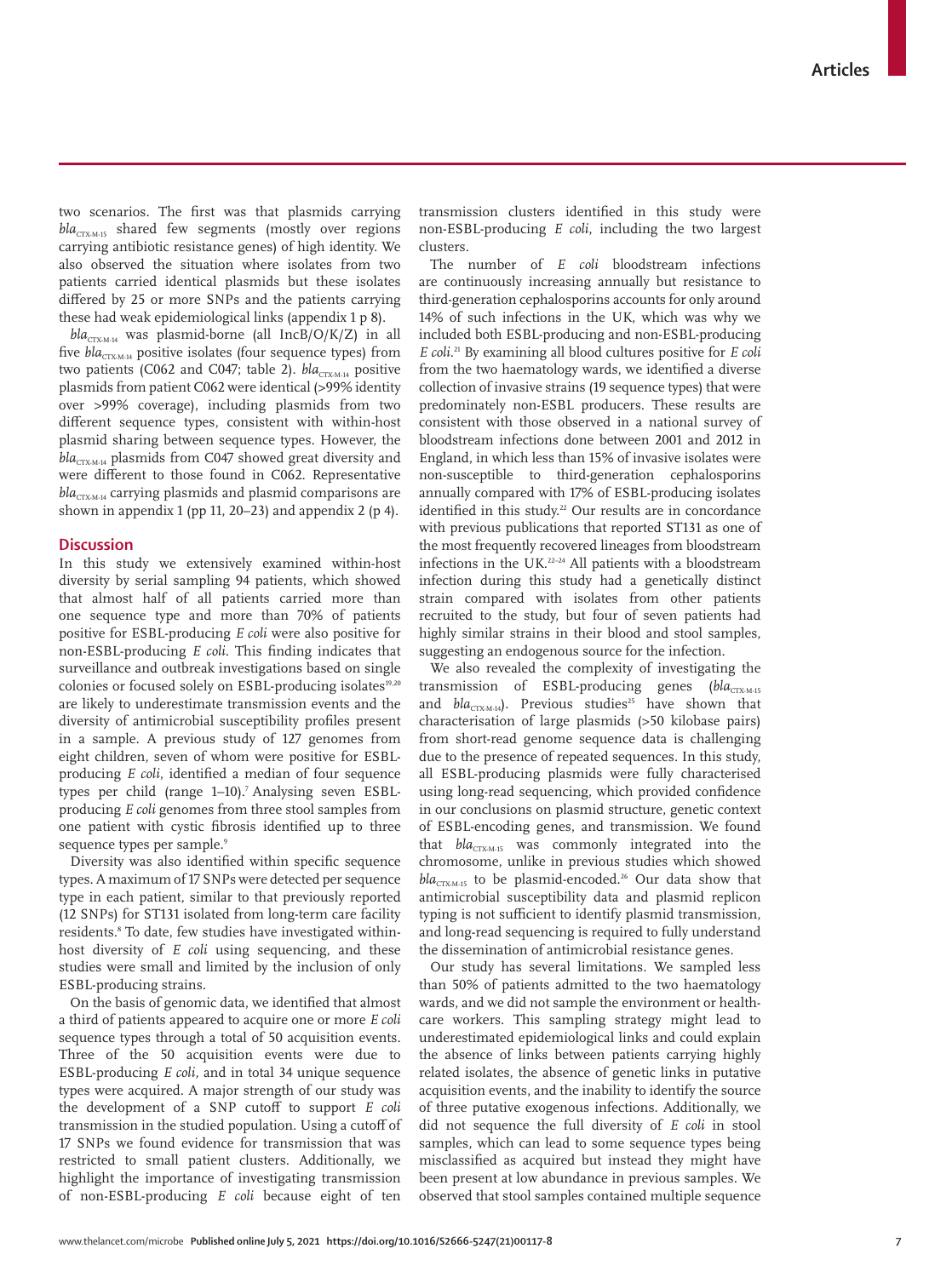www.thelancet.com/microbe **Published online July 5, 2021 https://doi.org/10.1016/S2666-5247(21)00117-8 7**

two scenarios. The first was that plasmids carrying  $bla_{CTX-M-15}$  shared few segments (mostly over regions carrying antibiotic resistance genes) of high identity. We also observed the situation where isolates from two patients carried identical plasmids but these isolates differed by 25 or more SNPs and the patients carrying these had weak epidemiological links (appendix 1 p 8).

 $bla_{\text{CTX-M-14}}$  was plasmid-borne (all IncB/O/K/Z) in all five *bla<sub>CTX-M-14</sub>* positive isolates (four sequence types) from two patients (C062 and C047; table 2). *bla<sub>CTX-M-14</sub>* positive plasmids from patient C062 were identical (>99% identity over >99% coverage), including plasmids from two different sequence types, consistent with within-host plasmid sharing between sequence types. However, the bla<sub>CTX-M-14</sub> plasmids from C047 showed great diversity and were different to those found in C062. Representative  $bla_{CTX, M, 14}$  carrying plasmids and plasmid comparisons are shown in appendix 1 (pp 11, 20–23) and appendix 2 (p 4).

# **Discussion**

In this study we extensively examined within-host diversity by serial sampling 94 patients, which showed that almost half of all patients carried more than one sequence type and more than 70% of patients positive for ESBL-producing *E coli* were also positive for non-ESBL-producing *E coli*. This finding indicates that surveillance and outbreak investigations based on single colonies or focused solely on ESBL-producing isolates<sup>19,20</sup> are likely to underestimate transmission events and the diversity of antimicrobial susceptibility profiles present in a sample. A previous study of 127 genomes from eight children, seven of whom were positive for ESBLproducing *E coli*, identified a median of four sequence types per child (range 1–10).<sup>7</sup> Analysing seven ESBLproducing *E coli* genomes from three stool samples from one patient with cystic fibrosis identified up to three sequence types per sample.9

Diversity was also identified within specific sequence types. A maximum of 17 SNPs were detected per sequence type in each patient, similar to that previously reported (12 SNPs) for ST131 isolated from long-term care facility residents.8 To date, few studies have investigated withinhost diversity of *E coli* using sequencing, and these studies were small and limited by the inclusion of only ESBL-producing strains.

On the basis of genomic data, we identified that almost a third of patients appeared to acquire one or more *E coli* sequence types through a total of 50 acquisition events. Three of the 50 acquisition events were due to ESBL-producing *E coli,* and in total 34 unique sequence types were acquired. A major strength of our study was the development of a SNP cutoff to support *E coli*  transmission in the studied population. Using a cutoff of 17 SNPs we found evidence for transmission that was restricted to small patient clusters. Additionally, we highlight the importance of investigating transmission of non-ESBL-producing *E coli* because eight of ten

transmission clusters identified in this study were non-ESBL-producing *E coli*, including the two largest clusters.

The number of *E coli* bloodstream infections are continuously increasing annually but resistance to third-generation cephalosporins accounts for only around 14% of such infections in the UK, which was why we included both ESBL-producing and non-ESBL-producing *E coli*. <sup>21</sup> By examining all blood cultures positive for *E coli* from the two haematology wards, we identified a diverse collection of invasive strains (19 sequence types) that were predominately non-ESBL producers. These results are consistent with those observed in a national survey of bloodstream infections done between 2001 and 2012 in England, in which less than 15% of invasive isolates were non-susceptible to third-generation cephalosporins annually compared with 17% of ESBL-producing isolates identified in this study.<sup>22</sup> Our results are in concordance with previous publications that reported ST131 as one of the most frequently recovered lineages from bloodstream infections in the UK.22–24 All patients with a bloodstream infection during this study had a genetically distinct strain compared with isolates from other patients recruited to the study, but four of seven patients had highly similar strains in their blood and stool samples, suggesting an endogenous source for the infection.

We also revealed the complexity of investigating the transmission of ESBL-producing genes (bla<sub>CTX-M-15</sub>) and *bla<sub>CTX-M-14</sub>*). Previous studies<sup>25</sup> have shown that characterisation of large plasmids (>50 kilobase pairs) from short-read genome sequence data is challenging due to the presence of repeated sequences. In this study, all ESBL-producing plasmids were fully characterised using long-read sequencing, which provided confidence in our conclusions on plasmid structure, genetic context of ESBL-encoding genes, and transmission. We found that  $bla_{\text{CTX-M-15}}$  was commonly integrated into the chromosome, unlike in previous studies which showed  $bla_{CTX, M, 15}$  to be plasmid-encoded.<sup>26</sup> Our data show that antimicrobial susceptibility data and plasmid replicon typing is not sufficient to identify plasmid transmission, and long-read sequencing is required to fully understand the dissemination of antimicrobial resistance genes.

Our study has several limitations. We sampled less than 50% of patients admitted to the two haematology wards, and we did not sample the environment or healthcare workers. This sampling strategy might lead to underestimated epidemiological links and could explain the absence of links between patients carrying highly related isolates, the absence of genetic links in putative acquisition events, and the inability to identify the source of three putative exogenous infections. Additionally, we did not sequence the full diversity of *E coli* in stool samples, which can lead to some sequence types being misclassified as acquired but instead they might have been present at low abundance in previous samples. We observed that stool samples contained multiple sequence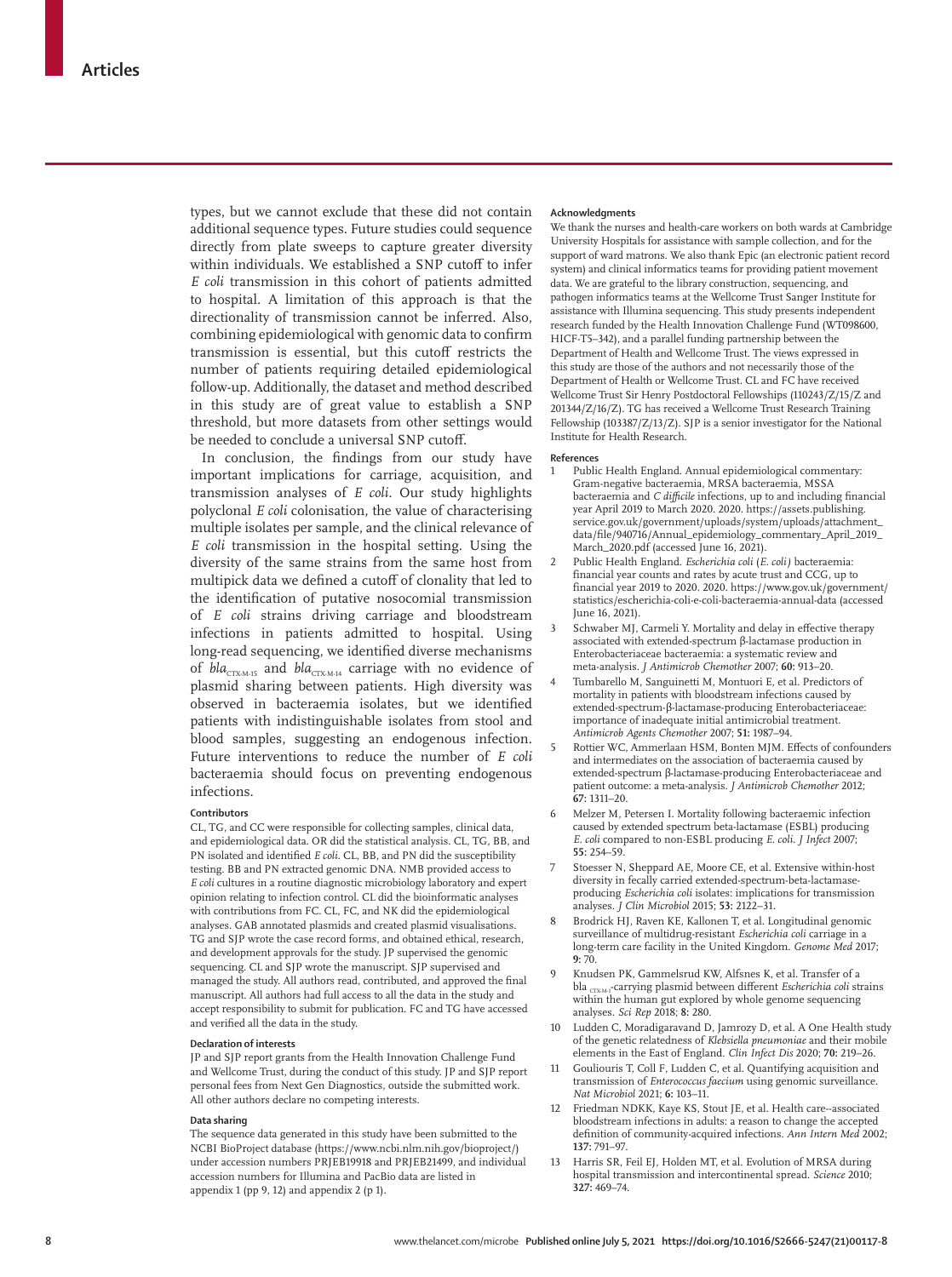types, but we cannot exclude that these did not contain additional sequence types. Future studies could sequence directly from plate sweeps to capture greater diversity within individuals. We established a SNP cutoff to infer *E coli* transmission in this cohort of patients admitted to hospital. A limitation of this approach is that the directionality of transmission cannot be inferred. Also, combining epidemiological with genomic data to confirm transmission is essential, but this cutoff restricts the number of patients requiring detailed epidemiological follow-up. Additionally, the dataset and method described in this study are of great value to establish a SNP threshold, but more datasets from other settings would be needed to conclude a universal SNP cutoff.

In conclusion, the findings from our study have important implications for carriage, acquisition, and transmission analyses of *E coli.* Our study highlights polyclonal *E coli* colonisation, the value of characterising multiple isolates per sample, and the clinical relevance of *E coli* transmission in the hospital setting. Using the diversity of the same strains from the same host from multipick data we defined a cutoff of clonality that led to the identification of putative nosocomial transmission of *E coli* strains driving carriage and bloodstream infections in patients admitted to hospital. Using long-read sequencing, we identified diverse mechanisms of *bla<sub>CTX-M-15</sub>* and *bla<sub>CTX-M-14</sub>* carriage with no evidence of plasmid sharing between patients. High diversity was observed in bacteraemia isolates, but we identified patients with indistinguishable isolates from stool and blood samples, suggesting an endogenous infection. Future interventions to reduce the number of *E coli*  bacteraemia should focus on preventing endogenous infections.

#### **Contributors**

CL, TG, and CC were responsible for collecting samples, clinical data, and epidemiological data. OR did the statistical analysis. CL, TG, BB, and PN isolated and identified *E coli.* CL, BB, and PN did the susceptibility testing. BB and PN extracted genomic DNA. NMB provided access to *E coli* cultures in a routine diagnostic microbiology laboratory and expert opinion relating to infection control. CL did the bioinformatic analyses with contributions from FC. CL, FC, and NK did the epidemiological analyses. GAB annotated plasmids and created plasmid visualisations. TG and SJP wrote the case record forms, and obtained ethical, research, and development approvals for the study. JP supervised the genomic sequencing. CL and SJP wrote the manuscript. SJP supervised and managed the study. All authors read, contributed, and approved the final manuscript. All authors had full access to all the data in the study and accept responsibility to submit for publication. FC and TG have accessed and verified all the data in the study.

#### **Declaration of interests**

JP and SJP report grants from the Health Innovation Challenge Fund and Wellcome Trust, during the conduct of this study. JP and SJP report personal fees from Next Gen Diagnostics, outside the submitted work. All other authors declare no competing interests.

# **Data sharing**

The sequence data generated in this study have been submitted to the NCBI BioProject database (https://www.ncbi.nlm.nih.gov/bioproject/) under accession numbers PRJEB19918 and PRJEB21499, and individual accession numbers for Illumina and PacBio data are listed in appendix 1 (pp 9, 12) and appendix 2 (p 1).

#### **Acknowledgments**

We thank the nurses and health-care workers on both wards at Cambridge University Hospitals for assistance with sample collection, and for the support of ward matrons. We also thank Epic (an electronic patient record system) and clinical informatics teams for providing patient movement data. We are grateful to the library construction, sequencing, and pathogen informatics teams at the Wellcome Trust Sanger Institute for assistance with Illumina sequencing. This study presents independent research funded by the Health Innovation Challenge Fund (WT098600, HICF-T5–342), and a parallel funding partnership between the Department of Health and Wellcome Trust. The views expressed in this study are those of the authors and not necessarily those of the Department of Health or Wellcome Trust. CL and FC have received Wellcome Trust Sir Henry Postdoctoral Fellowships (110243/Z/15/Z and 201344/Z/16/Z). TG has received a Wellcome Trust Research Training Fellowship (103387/Z/13/Z). SJP is a senior investigator for the National Institute for Health Research.

#### **References**

- 1 Public Health England. Annual epidemiological commentary: Gram-negative bacteraemia, MRSA bacteraemia, MSSA bacteraemia and *C difficile* infections, up to and including financial year April 2019 to March 2020. 2020. https://assets.publishing. service.gov.uk/government/uploads/system/uploads/attachment\_ data/file/940716/Annual\_epidemiology\_commentary\_April\_2019\_ March\_2020.pdf (accessed June 16, 2021).
- 2 Public Health England. *Escherichia coli* (*E. coli)* bacteraemia: financial year counts and rates by acute trust and CCG, up to financial year 2019 to 2020. 2020. https://www.gov.uk/government/ statistics/escherichia-coli-e-coli-bacteraemia-annual-data (accessed June 16, 2021).
- 3 Schwaber MJ, Carmeli Y. Mortality and delay in effective therapy associated with extended-spectrum β-lactamase production in Enterobacteriaceae bacteraemia: a systematic review and meta-analysis. *J Antimicrob Chemother* 2007; **60:** 913–20.
- 4 Tumbarello M, Sanguinetti M, Montuori E, et al. Predictors of mortality in patients with bloodstream infections caused by extended-spectrum-β-lactamase-producing Enterobacteriaceae: importance of inadequate initial antimicrobial treatment. *Antimicrob Agents Chemother* 2007; **51:** 1987–94.
- 5 Rottier WC, Ammerlaan HSM, Bonten MJM. Effects of confounders and intermediates on the association of bacteraemia caused by extended-spectrum β-lactamase-producing Enterobacteriaceae and patient outcome: a meta-analysis. *J Antimicrob Chemother* 2012; **67:** 1311–20.
- 6 Melzer M, Petersen I. Mortality following bacteraemic infection caused by extended spectrum beta-lactamase (ESBL) producing *E. coli* compared to non-ESBL producing *E. coli. J Infect* 2007; **55:** 254–59.
- Stoesser N, Sheppard AE, Moore CE, et al. Extensive within-host diversity in fecally carried extended-spectrum-beta-lactamaseproducing *Escherichia coli* isolates: implications for transmission analyses. *J Clin Microbiol* 2015; **53:** 2122–31.
- 8 Brodrick HJ, Raven KE, Kallonen T, et al. Longitudinal genomic surveillance of multidrug-resistant *Escherichia coli* carriage in a long-term care facility in the United Kingdom. *Genome Med* 2017; **9:** 70.
- 9 Knudsen PK, Gammelsrud KW, Alfsnes K, et al. Transfer of a bla <sub>CTXM-1</sub>-carrying plasmid between different *Escherichia coli* strains within the human gut explored by whole genome sequencing analyses. *Sci Rep* 2018; **8:** 280.
- 10 Ludden C, Moradigaravand D, Jamrozy D, et al. A One Health study of the genetic relatedness of *Klebsiella pneumoniae* and their mobile elements in the East of England. *Clin Infect Dis* 2020; **70:** 219–26.
- Gouliouris T, Coll F, Ludden C, et al. Quantifying acquisition and transmission of *Enterococcus faecium* using genomic surveillance. *Nat Microbiol* 2021; **6:** 103–11.
- 12 Friedman NDKK, Kaye KS, Stout JE, et al. Health care--associated bloodstream infections in adults: a reason to change the accepted definition of community-acquired infections. *Ann Intern Med* 2002; **137:** 791–97.
- Harris SR, Feil EJ, Holden MT, et al. Evolution of MRSA during hospital transmission and intercontinental spread. *Science* 2010; **327:** 469–74.